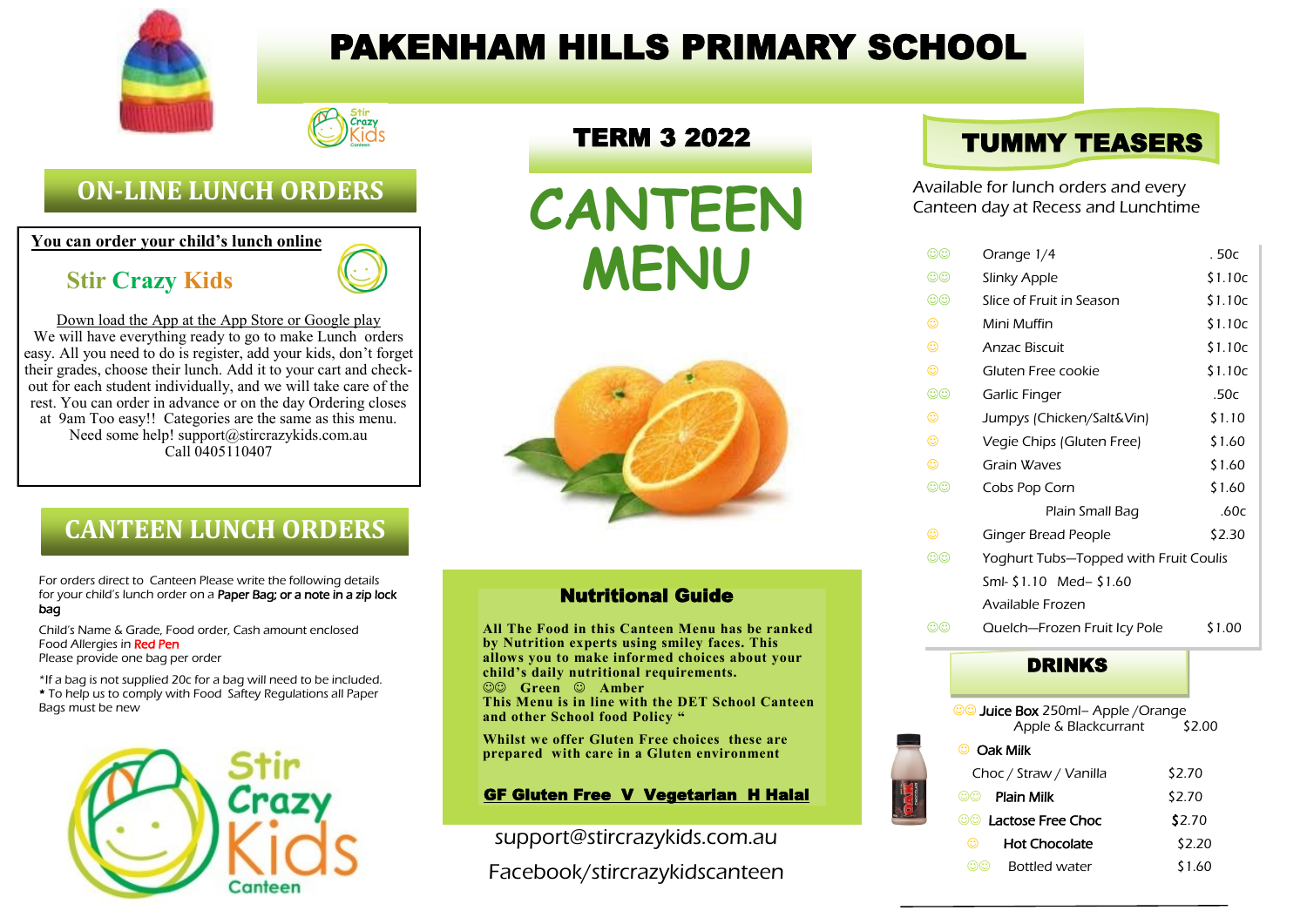

# PAKENHAM HILLS PRIMARY SCHOOL



### **ON-LINE LUNCH ORDERS**

**You can order your child's lunch online**

### **Stir Crazy Kids**



Down load the App at the App Store or Google play We will have everything ready to go to make Lunch orders easy. All you need to do is register, add your kids, don't forget their grades, choose their lunch. Add it to your cart and checkout for each student individually, and we will take care of the rest. You can order in advance or on the day Ordering closes at 9am Too easy!! Categories are the same as this menu. Need some help! support@stircrazykids.com.au Call 0405110407

### TERM 3 2022





## **CANTEEN LUNCH ORDERS**

For orders direct to Canteen Please write the following details for your child's lunch order on a Paper Bag; or a note in a zip lock bag

Child's Name & Grade, Food order, Cash amount enclosed Food Allergies in Red Pen

Please provide one bag per order

\*If a bag is not supplied 20c for a bag will need to be included. \* To help us to comply with Food Saftey Regulations all Paper Bags must be new



#### Nutritional Guide

**All The Food in this Canteen Menu has be ranked by Nutrition experts using smiley faces. This allows you to make informed choices about your child's daily nutritional requirements.** ☺☺ **Green** ☺ **Amber This Menu is in line with the DET School Canteen and other School food Policy "**

**Whilst we offer Gluten Free choices these are prepared with care in a Gluten environment**

#### GF Gluten Free V Vegetarian H Halal

support@stircrazykids.com.au Facebook/stircrazykidscanteen

## TUMMY TEASERS

Available for lunch orders and every Canteen day at Recess and Lunchtime

| $\odot\odot$ | Orange 1/4                            | . 50с   |
|--------------|---------------------------------------|---------|
| ලල           | Slinky Apple                          | \$1.10c |
| $\odot\odot$ | Slice of Fruit in Season              | \$1.10c |
| ☺            | Mini Muffin                           | \$1.10c |
| ☺            | <b>Anzac Biscuit</b>                  | \$1.10c |
| ☺            | Gluten Free cookie                    | \$1.10c |
| $\odot\odot$ | Garlic Finger                         | .50c    |
| ☺            | Jumpys (Chicken/Salt&Vin)             | \$1.10  |
| ☺            | Vegie Chips (Gluten Free)             | \$1.60  |
| ☺            | Grain Waves                           | \$1.60  |
| $\odot\odot$ | Cobs Pop Corn                         | \$1.60  |
|              | Plain Small Bag                       | .60c    |
| ☺            | Ginger Bread People                   | \$2.30  |
| $\odot\odot$ | Yoghurt Tubs-Topped with Fruit Coulis |         |
|              | Sml- \$1.10 Med- \$1.60               |         |
|              | Available Frozen                      |         |
| ගග           | Quelch-Frozen Fruit Icy Pole          | \$1.00  |
|              |                                       |         |

#### DRINKS

| <b>CO Juice Box 250ml- Apple / Orange</b> |        |
|-------------------------------------------|--------|
| Apple & Blackcurrant                      | \$2.00 |
| Oak Milk<br>ు                             |        |
| Choc / Straw / Vanilla                    | \$2.70 |
| Plain Milk<br>ඟඟ                          | \$2.70 |
| ©© Tactose Free Choc                      | \$2.70 |
| <b>Hot Chocolate</b><br>☺                 | \$2.20 |
| <b>Bottled water</b><br>ඟඟ                | \$1.60 |
|                                           |        |